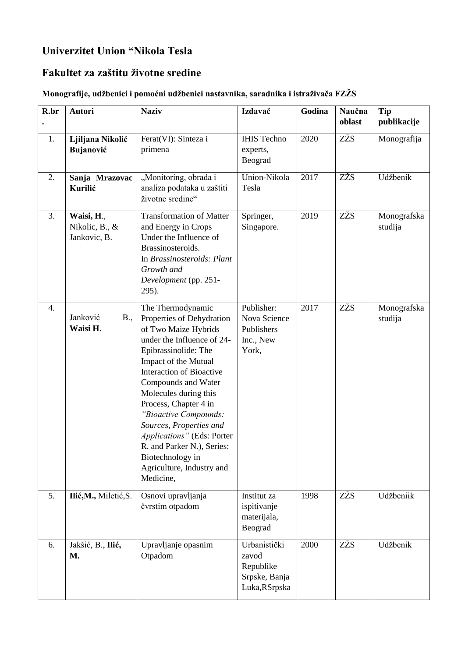## **Univerzitet Union "Nikola Tesla**

## **Fakultet za zaštitu životne sredine**

## **Monografije, udžbenici i pomoćni udžbenici nastavnika, saradnika i istraživača FZŽS**

| R.br | <b>Autori</b>                                | <b>Naziv</b>                                                                                                                                                                                                                                                                                                                                                                                                                                   | Izdavač                                                              | Godina | Naučna<br>oblast | Tip<br>publikacije     |
|------|----------------------------------------------|------------------------------------------------------------------------------------------------------------------------------------------------------------------------------------------------------------------------------------------------------------------------------------------------------------------------------------------------------------------------------------------------------------------------------------------------|----------------------------------------------------------------------|--------|------------------|------------------------|
| 1.   | Ljiljana Nikolić<br>Bujanović                | Ferat(VI): Sinteza i<br>primena                                                                                                                                                                                                                                                                                                                                                                                                                | <b>IHIS Techno</b><br>experts,<br>Beograd                            | 2020   | ZŽS              | Monografija            |
| 2.   | Sanja Mrazovac<br>Kurilić                    | "Monitoring, obrada i<br>analiza podataka u zaštiti<br>životne sredine"                                                                                                                                                                                                                                                                                                                                                                        | Union-Nikola<br>Tesla                                                | 2017   | ZŽS              | Udžbenik               |
| 3.   | Waisi, H.,<br>Nikolic, B., &<br>Jankovic, B. | <b>Transformation of Matter</b><br>and Energy in Crops<br>Under the Influence of<br>Brassinosteroids.<br>In Brassinosteroids: Plant<br>Growth and<br>Development (pp. 251-<br>295).                                                                                                                                                                                                                                                            | Springer,<br>Singapore.                                              | 2019   | ZŽS              | Monografska<br>studija |
| 4.   | Janković<br>B.,<br>Waisi H.                  | The Thermodynamic<br>Properties of Dehydration<br>of Two Maize Hybrids<br>under the Influence of 24-<br>Epibrassinolide: The<br>Impact of the Mutual<br><b>Interaction of Bioactive</b><br>Compounds and Water<br>Molecules during this<br>Process, Chapter 4 in<br>"Bioactive Compounds:<br>Sources, Properties and<br>Applications" (Eds: Porter<br>R. and Parker N.), Series:<br>Biotechnology in<br>Agriculture, Industry and<br>Medicine, | Publisher:<br>Nova Science<br>Publishers<br>Inc., New<br>York,       | 2017   | ZŽS              | Monografska<br>studija |
| 5.   | Ilić, M., Miletić, S.                        | Osnovi upravljanja<br>čvrstim otpadom                                                                                                                                                                                                                                                                                                                                                                                                          | Institut za<br>ispitivanje<br>materijala,<br>Beograd                 | 1998   | ZŽS              | Udžbeniik              |
| 6.   | Jakšić, B., Ilić,<br><b>M.</b>               | Upravljanje opasnim<br>Otpadom                                                                                                                                                                                                                                                                                                                                                                                                                 | Urbanistički<br>zavod<br>Republike<br>Srpske, Banja<br>Luka, RSrpska | 2000   | ZŽS              | Udžbenik               |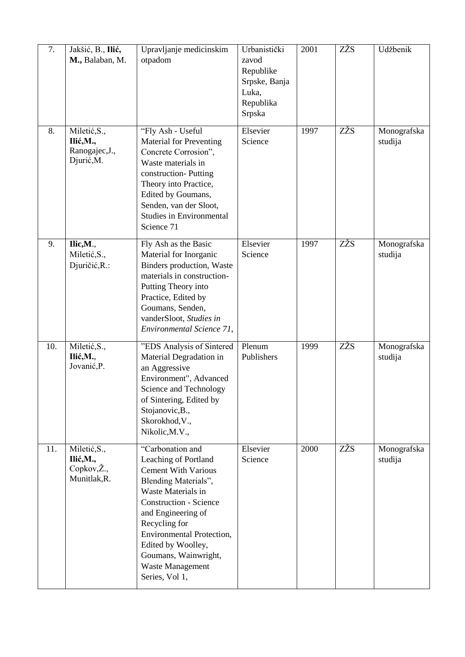| 7.  | Jakšić, B., Ilić,<br>M., Balaban, M.                      | Upravljanje medicinskim<br>otpadom                                                                                                                                                                                                                                                                                          | Urbanistički<br>zavod<br>Republike<br>Srpske, Banja<br>Luka,<br>Republika<br>Srpska | 2001 | ZŽS | Udžbenik               |
|-----|-----------------------------------------------------------|-----------------------------------------------------------------------------------------------------------------------------------------------------------------------------------------------------------------------------------------------------------------------------------------------------------------------------|-------------------------------------------------------------------------------------|------|-----|------------------------|
| 8.  | Miletić, S.,<br>Ilić, M.,<br>Ranogajec, J.,<br>Djurić, M. | "Fly Ash - Useful<br><b>Material for Preventing</b><br>Concrete Corrosion",<br>Waste materials in<br>construction-Putting<br>Theory into Practice,<br>Edited by Goumans,<br>Senden, van der Sloot,<br><b>Studies in Environmental</b><br>Science 71                                                                         | Elsevier<br>Science                                                                 | 1997 | ZŽS | Monografska<br>studija |
| 9.  | Ilic,M.,<br>Miletić, S.,<br>Djuričić, R.:                 | Fly Ash as the Basic<br>Material for Inorganic<br>Binders production, Waste<br>materials in construction-<br>Putting Theory into<br>Practice, Edited by<br>Goumans, Senden,<br>vanderSloot, Studies in<br>Environmental Science 71,                                                                                         | Elsevier<br>Science                                                                 | 1997 | ZŽS | Monografska<br>studija |
| 10. | Miletić, S.,<br>Ilić, M.,<br>Jovanić, P.                  | "EDS Analysis of Sintered<br>Material Degradation in<br>an Aggressive<br>Environment", Advanced<br>Science and Technology<br>of Sintering, Edited by<br>Stojanovic, B.,<br>Skorokhod, V.,<br>Nikolic, M.V.,                                                                                                                 | Plenum<br>Publishers                                                                | 1999 | ZŽS | Monografska<br>studija |
| 11. | Miletić, S.,<br>Ilić, M.,<br>Copkov, Ž.,<br>Munitlak, R.  | "Carbonation and<br>Leaching of Portland<br><b>Cement With Various</b><br>Blending Materials",<br>Waste Materials in<br><b>Construction - Science</b><br>and Engineering of<br>Recycling for<br><b>Environmental Protection,</b><br>Edited by Woolley,<br>Goumans, Wainwright,<br><b>Waste Management</b><br>Series, Vol 1, | Elsevier<br>Science                                                                 | 2000 | ZŽS | Monografska<br>studija |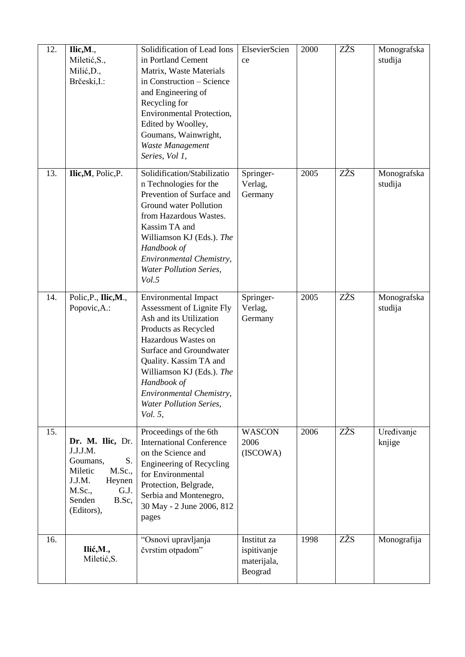| 12. | Ilic, M.,<br>Miletić, S.,<br>Milić, D.,<br>Brčeski, I.:                                                                                           | Solidification of Lead Ions<br>in Portland Cement<br>Matrix, Waste Materials<br>in Construction - Science<br>and Engineering of<br>Recycling for<br><b>Environmental Protection,</b><br>Edited by Woolley,<br>Goumans, Wainwright,<br>Waste Management<br>Series, Vol 1,                                            | ElsevierScien<br>ce                                  | 2000 | ZŽS | Monografska<br>studija |
|-----|---------------------------------------------------------------------------------------------------------------------------------------------------|---------------------------------------------------------------------------------------------------------------------------------------------------------------------------------------------------------------------------------------------------------------------------------------------------------------------|------------------------------------------------------|------|-----|------------------------|
| 13. | Ilic, M, Polic, P.                                                                                                                                | Solidification/Stabilizatio<br>n Technologies for the<br>Prevention of Surface and<br>Ground water Pollution<br>from Hazardous Wastes.<br>Kassim TA and<br>Williamson KJ (Eds.). The<br>Handbook of<br>Environmental Chemistry,<br><b>Water Pollution Series,</b><br>Vol.5                                          | Springer-<br>Verlag,<br>Germany                      | 2005 | ZŽS | Monografska<br>studija |
| 14. | Polic, P., Ilic, M.,<br>Popovic, A.:                                                                                                              | <b>Environmental Impact</b><br>Assessment of Lignite Fly<br>Ash and its Utilization<br>Products as Recycled<br>Hazardous Wastes on<br>Surface and Groundwater<br>Quality. Kassim TA and<br>Williamson KJ (Eds.). The<br>Handbook of<br>Environmental Chemistry,<br><b>Water Pollution Series,</b><br><i>Vol.</i> 5, | Springer-<br>Verlag,<br>Germany                      | 2005 | ZŽS | Monografska<br>studija |
| 15. | Dr. M. Ilic, Dr.<br>J.J.J.M.<br>S.<br>Goumans,<br><b>M.Sc.,</b><br>Miletic<br>J.J.M.<br>Heynen<br>M.Sc.,<br>G.J.<br>Senden<br>B.Sc,<br>(Editors), | Proceedings of the 6th<br><b>International Conference</b><br>on the Science and<br><b>Engineering of Recycling</b><br>for Environmental<br>Protection, Belgrade,<br>Serbia and Montenegro,<br>30 May - 2 June 2006, 812<br>pages                                                                                    | <b>WASCON</b><br>2006<br>(ISCOWA)                    | 2006 | ZŽS | Uređivanje<br>knjige   |
| 16. | Ilić, M.,<br>Miletić, S.                                                                                                                          | "Osnovi upravljanja<br>čvrstim otpadom"                                                                                                                                                                                                                                                                             | Institut za<br>ispitivanje<br>materijala,<br>Beograd | 1998 | ZŽS | Monografija            |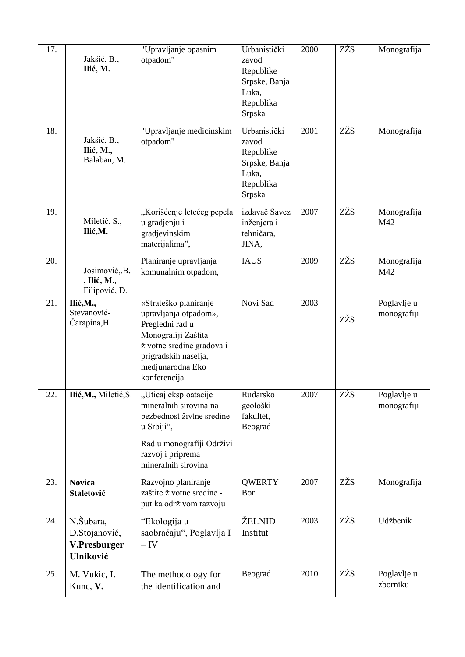| 17.<br>18. | Jakšić, B.,<br>Ilić, M.<br>Jakšić, B.,                  | "Upravljanje opasnim<br>otpadom"<br>"Upravljanje medicinskim<br>otpadom"                                                                                                          | Urbanistički<br>zavod<br>Republike<br>Srpske, Banja<br>Luka,<br>Republika<br>Srpska<br>Urbanistički<br>zavod | 2000<br>2001 | ZŽS<br>ZŽS | Monografija<br>Monografija |
|------------|---------------------------------------------------------|-----------------------------------------------------------------------------------------------------------------------------------------------------------------------------------|--------------------------------------------------------------------------------------------------------------|--------------|------------|----------------------------|
|            | Ilić, M.,<br>Balaban, M.                                |                                                                                                                                                                                   | Republike<br>Srpske, Banja<br>Luka,<br>Republika<br>Srpska                                                   |              |            |                            |
| 19.        | Miletić, S.,<br>Ilić, M.                                | "Korišćenje letećeg pepela<br>u gradjenju i<br>gradjevinskim<br>materijalima",                                                                                                    | izdavač Savez<br>inženjera i<br>tehničara,<br>JINA,                                                          | 2007         | ZŽS        | Monografija<br>M42         |
| 20.        | Josimović, B.<br>, Ilić, M.,<br>Filipović, D.           | Planiranje upravljanja<br>komunalnim otpadom,                                                                                                                                     | <b>IAUS</b>                                                                                                  | 2009         | ZŽS        | Monografija<br>M42         |
| 21.        | Ilić, M.,<br>Stevanović-<br>Čarapina, H.                | «Strateško planiranje<br>upravljanja otpadom»,<br>Pregledni rad u<br>Monografiji Zaštita<br>životne sredine gradova i<br>prigradskih naselja,<br>medjunarodna Eko<br>konferencija | Novi Sad                                                                                                     | 2003         | ZŽS        | Poglavlje u<br>monografiji |
| 22.        | Ilić, M., Miletić, S.                                   | "Uticaj eksploatacije<br>mineralnih sirovina na<br>bezbednost živtne sredine<br>u Srbiji",<br>Rad u monografiji Održivi<br>razvoj i priprema<br>mineralnih sirovina               | Rudarsko<br>geološki<br>fakultet,<br>Beograd                                                                 | 2007         | ZŽS        | Poglavlje u<br>monografiji |
| 23.        | <b>Novica</b><br>Staletović                             | Razvojno planiranje<br>zaštite životne sredine -<br>put ka održivom razvoju                                                                                                       | <b>QWERTY</b><br>Bor                                                                                         | 2007         | ZŽS        | Monografija                |
| 24.        | N.Šubara,<br>D.Stojanović,<br>V.Presburger<br>Ulniković | "Ekologija u<br>saobraćaju", Poglavlja I<br>$-IV$                                                                                                                                 | ŽELNID<br>Institut                                                                                           | 2003         | ZŽS        | Udžbenik                   |
| 25.        | M. Vukic, I.<br>Kunc, V.                                | The methodology for<br>the identification and                                                                                                                                     | Beograd                                                                                                      | 2010         | ZŽS        | Poglavlje u<br>zborniku    |